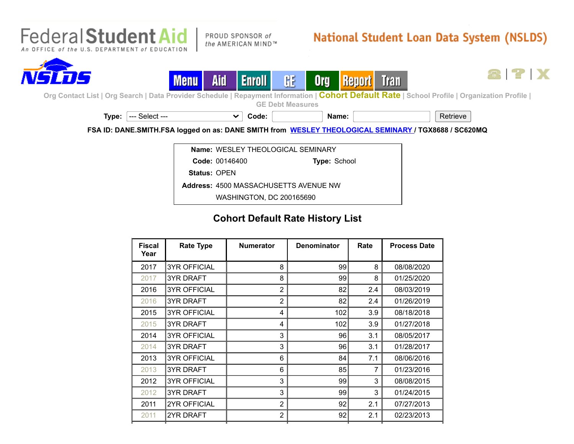

PROUD SPONSOR of the AMERICAN MIND™

## **National Student Loan Data System (NSLDS)**

21 P I X





[Org Contact List](https://nsldsfap.ed.gov/nslds_FAP/secure/orgclst.jsp) | [Org Search](https://nsldsfap.ed.gov/nslds_FAP/secure/orgsrch.jsp) | [Data Provider Schedule](https://nsldsfap.ed.gov/nslds_FAP/secure/dataprov.jsp) | [Repayment Information](https://nsldsfap.ed.gov/nslds_FAP/secure/repayinf.jsp) | Coh[ort Defau](https://nsldsfap.ed.gov/nslds_FAP/secure/repreqt.jsp)[lt Rate](https://nsldsfap.ed.gov/nslds_FAP/secure/tranmonl.jsp) | [School Profile](https://nsldsfap.ed.gov/nslds_FAP/secure/orgschpr.jsp) | [Organization Profile](https://nsldsfap.ed.gov/nslds_FAP/secure/orgprof.jsp) |

**[GE Debt Measures](https://nsldsfap.ed.gov/nslds_FAP/secure/gedmlst.jsp)**



**FSA ID: DANE.SMITH.FSA logged on as: DANE SMITH from [WESLEY THEOLOGICAL SEMINARY](https://nsldsfap.ed.gov/nslds_FAP/secure/orgclst.jsp?c184j=-704066078&ORGCODE=001464&ORGSUBCODE=00146400&ORGTYPE=SCH) / TGX8688 / SC620MQ**

**Name:** WESLEY THEOLOGICAL SEMINARY

**Code:** 00146400 **Type:** School

**Status:** OPEN

**Address:** 4500 MASSACHUSETTS AVENUE NW

WASHINGTON, DC 200165690

## **Cohort Default Rate History List**

| <b>Fiscal</b><br>Year | <b>Rate Type</b>    | <b>Numerator</b> | <b>Denominator</b> | Rate | <b>Process Date</b> |
|-----------------------|---------------------|------------------|--------------------|------|---------------------|
| 2017                  | <b>3YR OFFICIAL</b> | 8                | 99                 | 8    | 08/08/2020          |
| 2017                  | <b>3YR DRAFT</b>    | 8                | 99                 | 8    | 01/25/2020          |
| 2016                  | <b>3YR OFFICIAL</b> | $\overline{2}$   | 82                 | 2.4  | 08/03/2019          |
| 2016                  | <b>3YR DRAFT</b>    | $\overline{2}$   | 82                 | 2.4  | 01/26/2019          |
| 2015                  | <b>3YR OFFICIAL</b> | 4                | 102                | 3.9  | 08/18/2018          |
| 2015                  | <b>3YR DRAFT</b>    | 4                | 102                | 3.9  | 01/27/2018          |
| 2014                  | <b>3YR OFFICIAL</b> | 3                | 96                 | 3.1  | 08/05/2017          |
| 2014                  | <b>3YR DRAFT</b>    | 3                | 96                 | 3.1  | 01/28/2017          |
| 2013                  | <b>3YR OFFICIAL</b> | 6                | 84                 | 7.1  | 08/06/2016          |
| 2013                  | <b>3YR DRAFT</b>    | 6                | 85                 | 7    | 01/23/2016          |
| 2012                  | <b>3YR OFFICIAL</b> | 3                | 99                 | 3    | 08/08/2015          |
| 2012                  | <b>3YR DRAFT</b>    | 3                | 99                 | 3    | 01/24/2015          |
| 2011                  | <b>2YR OFFICIAL</b> | $\overline{2}$   | 92                 | 2.1  | 07/27/2013          |
| 2011                  | 2YR DRAFT           | $\overline{2}$   | 92                 | 2.1  | 02/23/2013          |
|                       |                     |                  |                    |      |                     |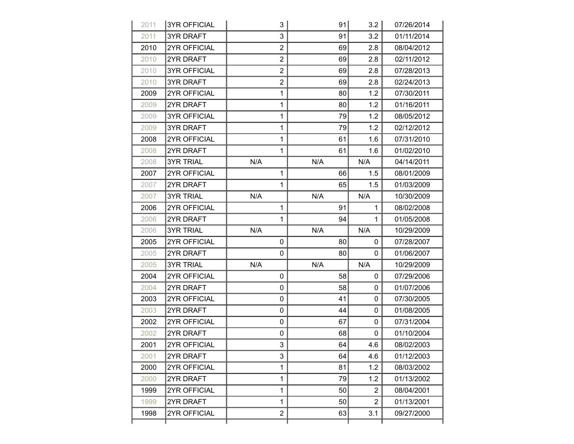| 2011 | <b>3YR OFFICIAL</b> | 3              | 91  | 3.2            | 07/26/2014 |
|------|---------------------|----------------|-----|----------------|------------|
| 2011 | <b>3YR DRAFT</b>    | 3              | 91  | 3.2            | 01/11/2014 |
| 2010 | <b>2YR OFFICIAL</b> | $\overline{2}$ | 69  | 2.8            | 08/04/2012 |
| 2010 | 2YR DRAFT           | $\overline{2}$ | 69  | 2.8            | 02/11/2012 |
| 2010 | <b>3YR OFFICIAL</b> | $\overline{2}$ | 69  | 2.8            | 07/28/2013 |
| 2010 | <b>3YR DRAFT</b>    | $\overline{2}$ | 69  | 2.8            | 02/24/2013 |
| 2009 | <b>2YR OFFICIAL</b> | $\mathbf{1}$   | 80  | 1.2            | 07/30/2011 |
| 2009 | 2YR DRAFT           | 1              | 80  | 1.2            | 01/16/2011 |
| 2009 | <b>3YR OFFICIAL</b> | $\mathbf{1}$   | 79  | 1.2            | 08/05/2012 |
| 2009 | <b>3YR DRAFT</b>    | 1              | 79  | 1.2            | 02/12/2012 |
| 2008 | <b>2YR OFFICIAL</b> | $\mathbf{1}$   | 61  | 1.6            | 07/31/2010 |
| 2008 | 2YR DRAFT           | 1              | 61  | 1.6            | 01/02/2010 |
| 2008 | <b>3YR TRIAL</b>    | N/A            | N/A | N/A            | 04/14/2011 |
| 2007 | <b>2YR OFFICIAL</b> | 1              | 66  | 1.5            | 08/01/2009 |
| 2007 | 2YR DRAFT           | $\mathbf{1}$   | 65  | 1.5            | 01/03/2009 |
| 2007 | <b>3YR TRIAL</b>    | N/A            | N/A | N/A            | 10/30/2009 |
| 2006 | 2YR OFFICIAL        | $\mathbf{1}$   | 91  | $\mathbf{1}$   | 08/02/2008 |
| 2006 | 2YR DRAFT           | 1              | 94  | 1              | 01/05/2008 |
| 2006 | <b>3YR TRIAL</b>    | N/A            | N/A | N/A            | 10/29/2009 |
| 2005 | 2YR OFFICIAL        | 0              | 80  | 0              | 07/28/2007 |
| 2005 | 2YR DRAFT           | $\mathbf{0}$   | 80  | $\Omega$       | 01/06/2007 |
| 2005 | <b>3YR TRIAL</b>    | N/A            | N/A | N/A            | 10/29/2009 |
| 2004 | 2YR OFFICIAL        | 0              | 58  | $\Omega$       | 07/29/2006 |
| 2004 | 2YR DRAFT           | 0              | 58  | 0              | 01/07/2006 |
| 2003 | 2YR OFFICIAL        | 0              | 41  | 0              | 07/30/2005 |
| 2003 | 2YR DRAFT           | 0              | 44  | 0              | 01/08/2005 |
| 2002 | <b>2YR OFFICIAL</b> | 0              | 67  | 0              | 07/31/2004 |
| 2002 | 2YR DRAFT           | 0              | 68  | 0              | 01/10/2004 |
| 2001 | 2YR OFFICIAL        | 3              | 64  | 4.6            | 08/02/2003 |
| 2001 | 2YR DRAFT           | 3              | 64  | 4.6            | 01/12/2003 |
| 2000 | 2YR OFFICIAL        | $\mathbf{1}$   | 81  | 1.2            | 08/03/2002 |
| 2000 | 2YR DRAFT           | 1              | 79  | 1.2            | 01/13/2002 |
| 1999 | 2YR OFFICIAL        | $\mathbf 1$    | 50  | $\overline{2}$ | 08/04/2001 |
| 1999 | 2YR DRAFT           | 1              | 50  | $\overline{2}$ | 01/13/2001 |
| 1998 | 2YR OFFICIAL        | $\overline{2}$ | 63  | 3.1            | 09/27/2000 |
|      |                     |                |     |                |            |